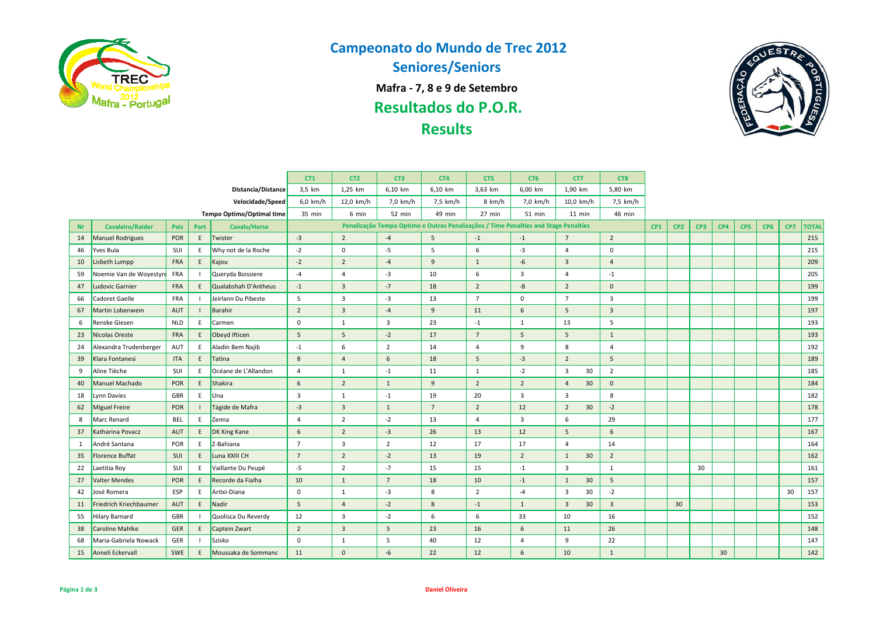

## **Campeonato do Mundo de Trec 2012**

**Seniores/Seniors**

**Mafra - 7, 8 e 9 de Setembro**

**Resultados do P.O.R.**

# **Results**



|                  |                         |            |                    | CT <sub>1</sub>           | CT <sub>2</sub>         | CT3            | CT4                     | CT5            | CT <sub>6</sub>                                                                     | CT7                     | CT8                           |                |     |                 |     |     |     |                 |     |              |
|------------------|-------------------------|------------|--------------------|---------------------------|-------------------------|----------------|-------------------------|----------------|-------------------------------------------------------------------------------------|-------------------------|-------------------------------|----------------|-----|-----------------|-----|-----|-----|-----------------|-----|--------------|
|                  |                         |            | Distancia/Distance | 3,5 km                    | 1,25 km                 | 6,10 km        | 6,10 km                 | 3,63 km        | 6.00 km                                                                             | 1,90 km                 | 5,80 km                       |                |     |                 |     |     |     |                 |     |              |
| Velocidade/Speed |                         |            |                    |                           | $6.0$ km/h              | 12,0 km/h      | 7,0 km/h                | 7,5 km/h       | 8 km/h                                                                              | 7,0 km/h                | $10,0$ km/h                   | 7,5 km/h       |     |                 |     |     |     |                 |     |              |
|                  |                         |            |                    | Tempo Optimo/Optimal time | 35 min                  | 6 min          | 52 min                  | 49 min         | $27$ min                                                                            | $51$ min                | $11$ min                      | 46 min         |     |                 |     |     |     |                 |     |              |
| <b>Nr</b>        | <b>Cavaleiro/Raider</b> | Pais       | Part               | <b>Cavalo/Horse</b>       |                         |                |                         |                | Penalização Tempo Optimo e Outras Penalizações / Time Penalties and Stage Penalties |                         |                               |                | CP1 | CP <sub>2</sub> | CP3 | CP4 | CP5 | CP <sub>6</sub> | CP7 | <b>TOTAL</b> |
| 14               | <b>Manuel Rodrigues</b> | <b>POR</b> | E                  | Twister                   | $-3$                    | $\overline{2}$ | $-4$                    | 5              | $-1$                                                                                | $-1$                    | $\overline{7}$                | $\overline{2}$ |     |                 |     |     |     |                 |     | 215          |
| 46               | Yves Bula               | SUI        | E.                 | Why not de la Roche       | $-2$                    | $\mathbf 0$    | $-5$                    | 5              | 6                                                                                   | $-3$                    | $\overline{4}$                | $\mathbf 0$    |     |                 |     |     |     |                 |     | 215          |
| 10               | Lisbeth Lumpp           | <b>FRA</b> | E                  | Kajou                     | $-2$                    | $\overline{2}$ | $-4$                    | $\overline{9}$ | $\mathbf{1}$                                                                        | $-6$                    | $\overline{\mathbf{3}}$       | $\overline{4}$ |     |                 |     |     |     |                 |     | 209          |
| 59               | Noemie Van de Woyestyre | <b>FRA</b> |                    | Queryda Boissiere         | $-4$                    | $\overline{4}$ | $-3$                    | 10             | 6                                                                                   | $\overline{\mathbf{3}}$ | $\overline{4}$                | $-1$           |     |                 |     |     |     |                 |     | 205          |
| 47               | Ludovic Garnier         | <b>FRA</b> | E                  | Qualabshah D'Antheus      | $-1$                    | $\overline{3}$ | $-7$                    | 18             | $\overline{2}$                                                                      | $-8$                    | $\overline{2}$                | $\mathbf 0$    |     |                 |     |     |     |                 |     | 199          |
| 66               | Cadoret Gaelle          | FRA        |                    | Jeirlann Du Pibeste       | 5                       | $\overline{3}$ | $-3$                    | 13             | $\overline{7}$                                                                      | $\mathbf 0$             | $\overline{7}$                | $\overline{3}$ |     |                 |     |     |     |                 |     | 199          |
| 67               | Martin Lobenwein        | <b>AUT</b> |                    | <b>Barahir</b>            | $\overline{2}$          | $\overline{3}$ | $-4$                    | $\overline{9}$ | 11                                                                                  | 6                       | 5                             | $\overline{3}$ |     |                 |     |     |     |                 |     | 197          |
| 6                | Renske Giesen           | <b>NLD</b> | E.                 | Carmen                    | $\mathbf 0$             | $\mathbf{1}$   | $\overline{\mathbf{3}}$ | 23             | $-1$                                                                                | 1                       | 13                            | 5              |     |                 |     |     |     |                 |     | 193          |
| 23               | Nicolas Oreste          | <b>FRA</b> | E.                 | Obeyd Ifticen             | 5                       | 5              | $-2$                    | 17             | $\overline{7}$                                                                      | 5                       | 5                             | $\mathbf{1}$   |     |                 |     |     |     |                 |     | 193          |
| 24               | Alexandra Trudenberger  | <b>AUT</b> | E.                 | Aladin Bem Najib          | $\mathbf{-1}$           | 6              | $\overline{2}$          | 14             | $\overline{4}$                                                                      | 9                       | 8                             | $\overline{4}$ |     |                 |     |     |     |                 |     | 192          |
| 39               | Klara Fontanesi         | <b>ITA</b> | E                  | Tatina                    | 8                       | $\overline{4}$ | 6                       | 18             | 5                                                                                   | $-3$                    | $\overline{2}$                | 5              |     |                 |     |     |     |                 |     | 189          |
| 9                | Aline Tièche            | SUI        | E.                 | Océane de L'Allandon      | $\overline{4}$          | $\mathbf{1}$   | $-1$                    | 11             | $\mathbf{1}$                                                                        | $-2$                    | $\overline{\mathbf{3}}$<br>30 | $\overline{2}$ |     |                 |     |     |     |                 |     | 185          |
| 40               | Manuel Machado          | <b>POR</b> | E                  | Shakira                   | 6                       | $\overline{2}$ | $\mathbf{1}$            | 9              | $\overline{2}$                                                                      | $\overline{2}$          | 30<br>$\overline{4}$          | $\mathbf 0$    |     |                 |     |     |     |                 |     | 184          |
| 18               | Lynn Davies             | GBR        | E                  | Una                       | $\overline{\mathbf{3}}$ | $\mathbf{1}$   | $-1$                    | 19             | 20                                                                                  | $\overline{\mathbf{3}}$ | 3                             | 8              |     |                 |     |     |     |                 |     | 182          |
| 62               | Miguel Freire           | POR        |                    | Tágide de Mafra           | $-3$                    | $\overline{3}$ | $\mathbf{1}$            | $\overline{7}$ | $\overline{2}$                                                                      | 12                      | $\overline{2}$<br>30          | $-2$           |     |                 |     |     |     |                 |     | 178          |
| 8                | Marc Renard             | <b>BEL</b> | E.                 | Zenna                     | $\overline{4}$          | $\overline{2}$ | $-2$                    | 13             | $\overline{4}$                                                                      | $\overline{\mathbf{3}}$ | 6                             | 29             |     |                 |     |     |     |                 |     | 177          |
| 37               | Katharina Povacz        | <b>AUT</b> | E                  | DK King Kane              | 6                       | $\overline{2}$ | $-3$                    | 26             | 13                                                                                  | 12                      | 5                             | 6              |     |                 |     |     |     |                 |     | 167          |
| 1                | André Santana           | POR        | E                  | Z-Bahiana                 | $\overline{7}$          | 3              | $\overline{2}$          | 12             | 17                                                                                  | 17                      | $\overline{4}$                | 14             |     |                 |     |     |     |                 |     | 164          |
| 35               | <b>Florence Buffat</b>  | SUI        | E                  | Luna XXIII CH             | $\overline{7}$          | $\overline{2}$ | $-2$                    | 13             | 19                                                                                  | $\overline{2}$          | 30<br>$1\,$                   | $\overline{2}$ |     |                 |     |     |     |                 |     | 162          |
| 22               | Laetitia Roy            | SUI        | E.                 | Vaillante Du Peupé        | $-5$                    | $\overline{2}$ | $-7$                    | 15             | 15                                                                                  | $-1$                    | $\overline{\mathbf{3}}$       | 1              |     |                 | 30  |     |     |                 |     | 161          |
| 27               | <b>Valter Mendes</b>    | <b>POR</b> | E                  | Recorde da Fialha         | 10                      | $\mathbf{1}$   | $\overline{7}$          | 18             | 10                                                                                  | $-1$                    | 30<br>$\mathbf{1}$            | 5              |     |                 |     |     |     |                 |     | 157          |
| 42               | José Romera             | ESP        | E.                 | Aritxi-Diana              | $\mathbf 0$             | 1              | $-3$                    | 8              | $\overline{2}$                                                                      | $-4$                    | 30<br>3                       | $-2$           |     |                 |     |     |     |                 | 30  | 157          |
| 11               | Friedrich Kriechbaumer  | <b>AUT</b> | E.                 | Nadir                     | 5                       | $\overline{4}$ | $-2$                    | 8              | $-1$                                                                                | $\mathbf{1}$            | $\overline{3}$<br>30          | 3              |     | 30              |     |     |     |                 |     | 153          |
| 55               | Hilary Barnard          | GBR        |                    | Quolisca Du Reverdy       | 12                      | 3              | $-2$                    | 6              | 6                                                                                   | 33                      | 10                            | 16             |     |                 |     |     |     |                 |     | 152          |
| 38               | <b>Caroline Mahlke</b>  | <b>GER</b> | E                  | Captein Zwart             | $\overline{2}$          | $\overline{3}$ | 5                       | 23             | 16                                                                                  | 6                       | 11                            | 26             |     |                 |     |     |     |                 |     | 148          |
| 68               | Maria-Gabriela Nowack   | GER        |                    | Szisko                    | $\mathbf 0$             | 1              | 5                       | 40             | 12                                                                                  | $\overline{4}$          | 9                             | 22             |     |                 |     |     |     |                 |     | 147          |
| 15               | Anneli Eckervall        | <b>SWE</b> | E.                 | Moussaka de Sommanc       | 11                      | $\Omega$       | $-6$                    | 22             | 12                                                                                  | 6                       | 10                            | $\mathbf{1}$   |     |                 |     | 30  |     |                 |     | 142          |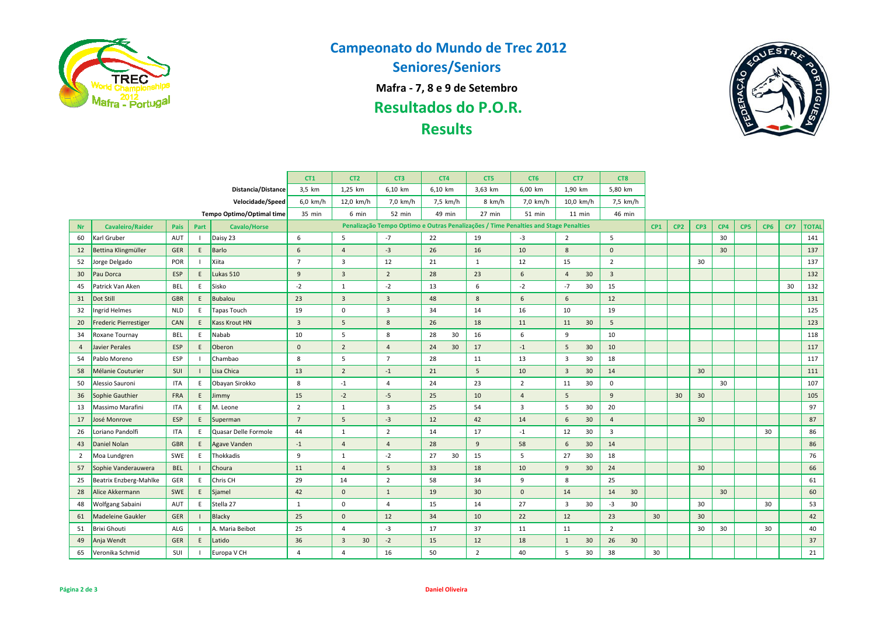

## **Campeonato do Mundo de Trec 2012**

**Seniores/Seniors**

**Mafra - 7, 8 e 9 de Setembro**

**Resultados do P.O.R.**

# **Results**



|                    |                          |            |      | CT <sub>1</sub>           | CT <sub>2</sub> | CT3                  | CT4             | CT5      | CT6             | CT7             | CT8                  |                       |              |    |    |    |  |    |    |     |
|--------------------|--------------------------|------------|------|---------------------------|-----------------|----------------------|-----------------|----------|-----------------|-----------------|----------------------|-----------------------|--------------|----|----|----|--|----|----|-----|
| Distancia/Distance |                          |            |      |                           | 3,5 km          | 1,25 km              | 6,10 km         | 6,10 km  | 3,63 km         | 6,00 km         | 1,90 km              | 5,80 km               |              |    |    |    |  |    |    |     |
| Velocidade/Speed   |                          |            |      |                           | $6.0$ km/h      | 12,0 km/h            | 7,0 km/h        | 7,5 km/h | 8 km/h          | 7,0 km/h        | $10,0$ km/h          | 7,5 km/h              |              |    |    |    |  |    |    |     |
|                    |                          |            |      | Tempo Optimo/Optimal time | 35 min          | 6 min                | 52 min          | 49 min   | 27 min          | 51 min          | $11$ min             | 46 min                |              |    |    |    |  |    |    |     |
| <b>Nr</b>          | <b>Cavaleiro/Raider</b>  | Pais       | Part | <b>Cavalo/Horse</b>       |                 | CP1                  | CP <sub>2</sub> | CP3      | CP4             | CP <sub>5</sub> | CP <sub>6</sub>      | CP7                   | <b>TOTAL</b> |    |    |    |  |    |    |     |
| 60                 | Karl Gruber              | AUT        |      | Daisy 23                  | 6               | 5                    | $-7$            | 22       | 19              | $-3$            | $\overline{2}$       | 5                     |              |    |    | 30 |  |    |    | 141 |
| 12                 | Bettina Klingmüller      | GER        | E    | Barlo                     | 6               | $\overline{4}$       | $-3$            | 26       | 16              | 10              | 8                    | $\mathbf 0$           |              |    |    | 30 |  |    |    | 137 |
| 52                 | Jorge Delgado            | POR        |      | Xiita                     | $\overline{7}$  | $\overline{3}$       | 12              | 21       | $\mathbf{1}$    | 12              | 15                   | $\overline{2}$        |              |    | 30 |    |  |    |    | 137 |
| 30                 | Pau Dorca                | ESP        | E.   | Lukas 510                 | 9               | $\overline{3}$       | $\overline{2}$  | 28       | 23              | 6               | 30<br>$\overline{4}$ | $\overline{3}$        |              |    |    |    |  |    |    | 132 |
| 45                 | Patrick Van Aken         | <b>BEL</b> | E.   | Sisko                     | $-2$            | $\mathbf{1}$         | $-2$            | 13       | 6               | $-2$            | $-7$<br>30           | 15                    |              |    |    |    |  |    | 30 | 132 |
| 31                 | Dot Still                | GBR        | E    | Bubalou                   | 23              | $\overline{3}$       | $\overline{3}$  | 48       | 8               | $6\phantom{1}$  | 6                    | 12                    |              |    |    |    |  |    |    | 131 |
| 32                 | Ingrid Helmes            | <b>NLD</b> | E.   | Tapas Touch               | 19              | $\mathbf 0$          | $\overline{3}$  | 34       | 14              | 16              | 10                   | 19                    |              |    |    |    |  |    |    | 125 |
| 20                 | Frederic Pierrestiger    | CAN        | E    | <b>Kass Krout HN</b>      | $\overline{3}$  | 5                    | 8               | 26       | 18              | 11              | 30<br>11             | 5                     |              |    |    |    |  |    |    | 123 |
| 34                 | Roxane Tournay           | <b>BEL</b> | E.   | Nabab                     | 10              | 5                    | 8               | 28<br>30 | 16              | 6               | 9                    | 10                    |              |    |    |    |  |    |    | 118 |
| $\overline{4}$     | Javier Perales           | ESP        | E.   | Oberon                    | $\mathbf 0$     | $\overline{2}$       | $\overline{4}$  | 30<br>24 | 17              | $-1$            | 5<br>30              | 10                    |              |    |    |    |  |    |    | 117 |
| 54                 | Pablo Moreno             | ESP        |      | Chambao                   | 8               | 5                    | $\overline{7}$  | 28       | 11              | 13              | 30<br>3              | 18                    |              |    |    |    |  |    |    | 117 |
| 58                 | Mélanie Couturier        | SUI        |      | Lisa Chica                | 13              | $\overline{2}$       | $-1$            | 21       | 5               | 10              | 30<br>$\overline{3}$ | 14                    |              |    | 30 |    |  |    |    | 111 |
| 50                 | Alessio Sauroni          | ITA        | E.   | Obayan Sirokko            | 8               | $-1$                 | 4               | 24       | 23              | $\overline{2}$  | 30<br>11             | $\mathbf 0$           |              |    |    | 30 |  |    |    | 107 |
| 36                 | Sophie Gauthier          | <b>FRA</b> | E    | Jimmy                     | 15              | $-2$                 | $-5$            | 25       | 10              | $\overline{4}$  | 5                    | 9                     |              | 30 | 30 |    |  |    |    | 105 |
| 13                 | Massimo Marafini         | <b>ITA</b> | E.   | M. Leone                  | $\overline{2}$  | $\mathbf{1}$         | 3               | 25       | 54              | $\overline{3}$  | 5<br>30              | 20                    |              |    |    |    |  |    |    | 97  |
| 17                 | José Monrove             | ESP        | E.   | Superman                  | $\overline{7}$  | 5                    | $-3$            | 12       | 42              | 14              | 30<br>6              | $\overline{4}$        |              |    | 30 |    |  |    |    | 87  |
| 26                 | Loriano Pandolfi         | <b>ITA</b> | E.   | Quasar Delle Formole      | 44              | 1                    | $\overline{2}$  | 14       | 17              | $-1$            | 12<br>30             | 3                     |              |    |    |    |  | 30 |    | 86  |
| 43                 | Daniel Nolan             | <b>GBR</b> | E    | Agave Vanden              | $-1$            | $\overline{4}$       | $\overline{4}$  | 28       | 9               | 58              | 6<br>30              | 14                    |              |    |    |    |  |    |    | 86  |
| $\overline{2}$     | Moa Lundgren             | SWE        | E.   | Thokkadis                 | 9               | $\mathbf{1}$         | $-2$            | 27<br>30 | 15              | 5               | 27<br>30             | 18                    |              |    |    |    |  |    |    | 76  |
| 57                 | Sophie Vanderauwera      | <b>BEL</b> |      | Choura                    | 11              | $\overline{4}$       | 5               | 33       | 18              | 10              | 30<br>9              | 24                    |              |    | 30 |    |  |    |    | 66  |
| 25                 | Beatrix Enzberg-Mahlke   | GER        | E    | Chris CH                  | 29              | 14                   | $\overline{2}$  | 58       | 34              | 9               | 8                    | 25                    |              |    |    |    |  |    |    | 61  |
| 28                 | Alice Akkermann          | <b>SWE</b> | E.   | Sjamel                    | 42              | $\mathbf 0$          | $\mathbf{1}$    | 19       | 30 <sup>°</sup> | $\mathbf{0}$    | 14                   | 14<br>30 <sup>°</sup> |              |    |    | 30 |  |    |    | 60  |
| 48                 | Wolfgang Sabaini         | AUT        | E.   | Stella 27                 | 1               | $\mathbf 0$          | $\overline{4}$  | 15       | 14              | 27              | 30<br>3              | 30<br>$-3$            |              |    | 30 |    |  | 30 |    | 53  |
| 61                 | <b>Madeleine Gaukler</b> | GER        |      | Blacky                    | 25              | $\mathbf 0$          | 12              | 34       | 10              | 22              | 12                   | 23                    | 30           |    | 30 |    |  |    |    | 42  |
| 51                 | <b>Brixi Ghouti</b>      | ALG        |      | A. Maria Beibot           | 25              | $\overline{4}$       | $-3$            | 17       | 37              | 11              | 11                   | $\overline{2}$        |              |    | 30 | 30 |  | 30 |    | 40  |
| 49                 | Anja Wendt               | GER        | E.   | Latido                    | 36              | 30<br>$\overline{3}$ | $-2$            | 15       | 12              | 18              | 30<br>1              | 26<br>30              |              |    |    |    |  |    |    | 37  |
| 65                 | Veronika Schmid          | SUI        |      | Europa V CH               | $\overline{4}$  | 4                    | 16              | 50       | $\overline{2}$  | 40              | 5<br>30              | 38                    | 30           |    |    |    |  |    |    | 21  |